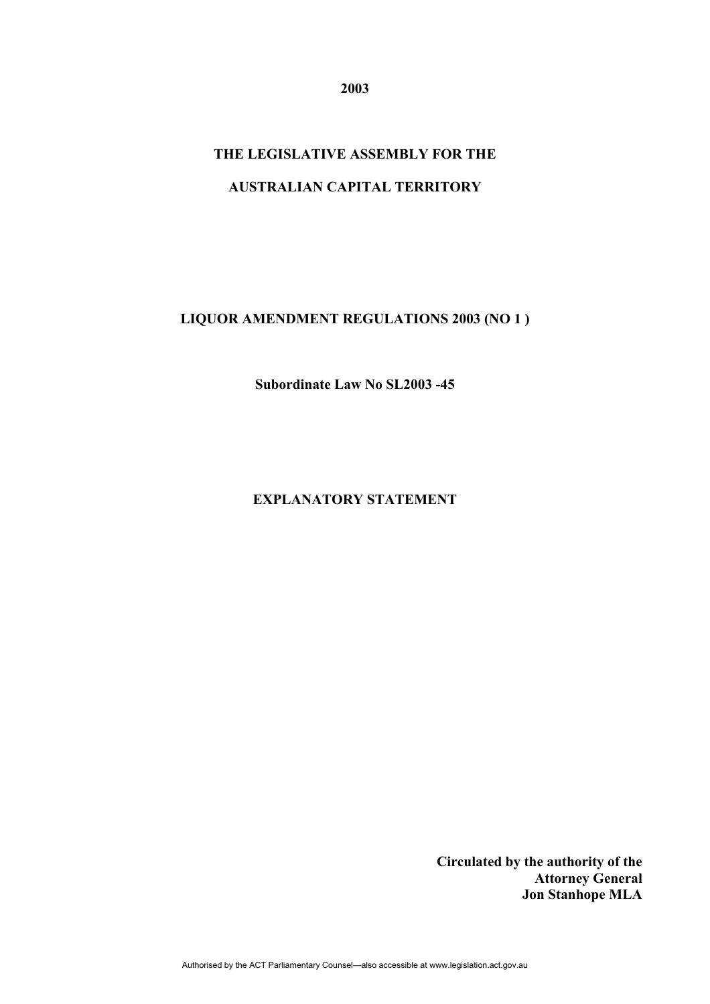**2003** 

# **THE LEGISLATIVE ASSEMBLY FOR THE AUSTRALIAN CAPITAL TERRITORY**

## **LIQUOR AMENDMENT REGULATIONS 2003 (NO 1 )**

**Subordinate Law No SL2003 -45** 

### **EXPLANATORY STATEMENT**

**Circulated by the authority of the Attorney General Jon Stanhope MLA**